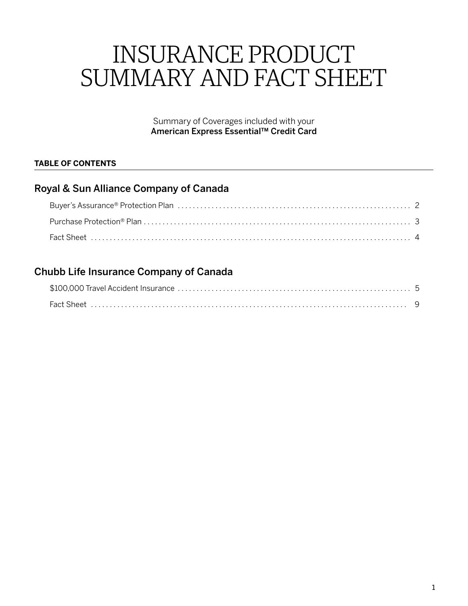# INSURANCE PRODUCT SUMMARY AND FACT SHEET

Summary of Coverages included with your American Express Essential™ Credit Card

### **TABLE OF CONTENTS**

# Royal & Sun Alliance Company of Canada

# Chubb Life Insurance Company of Canada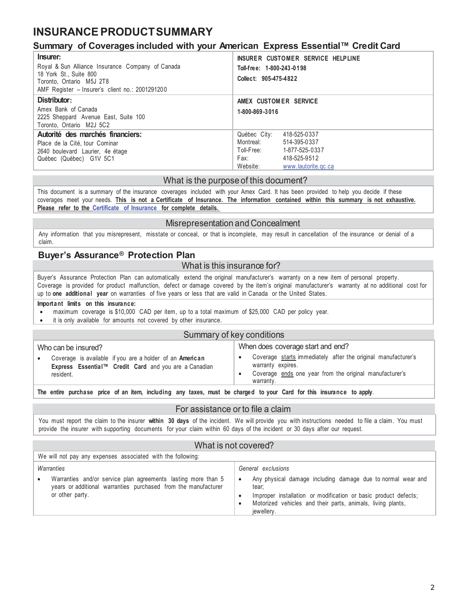# <span id="page-1-0"></span>**INSURANCE PRODUCT SUMMARY**

### **Summary of Coverages included with your American Express Essential™ Credit Card**

| Insurer:<br>Royal & Sun Alliance Insurance Company of Canada<br>18 York St., Suite 800<br>Toronto, Ontario M5J 2T8<br>AMF Register - Insurer's client no.: 2001291200 | INSURER CUSTOMER SERVICE HELPLINE<br>Toll-free: 1-800-243-0198<br>Collect: 905-475-4822 |
|-----------------------------------------------------------------------------------------------------------------------------------------------------------------------|-----------------------------------------------------------------------------------------|
| Distributor:<br>Amex Bank of Canada<br>2225 Sheppard Avenue East, Suite 100                                                                                           | AMEX CUSTOMER SERVICE<br>1-800-869-3016                                                 |
| Toronto. Ontario M2J 5C2                                                                                                                                              |                                                                                         |
| Autorité des marchés financiers:                                                                                                                                      | Québec City:<br>418-525-0337                                                            |
| Place de la Cité, tour Cominar                                                                                                                                        | Montreal:<br>514-395-0337                                                               |
| 2640 boulevard Laurier, 4e étage                                                                                                                                      | Toll-Free:<br>1-877-525-0337                                                            |
| Québec (Québec) G1V 5C1                                                                                                                                               | Fax:<br>418-525-9512                                                                    |
|                                                                                                                                                                       | Website:<br>www.lautorite.gc.ca                                                         |

#### What is the purpose of this document?

This document is a summary of the insurance coverages included with your Amex Card. It has been provided to help you decide if these coverages meet your needs. **This is not a Certificate of Insurance. The information contained within this summary is not exhaustive. Please refer to the [Certificate of](https://www.insurance.americanexpress.com/ca/files/2019/06/190519-Essentials-Ins.-Certs-16392-Eng.pdf) Insurance for complete details.**

#### Misrepresentation and Concealment

Any information that you misrepresent, misstate or conceal, or that is incomplete, may result in cancellation of the insurance or denial of a claim.

#### **Buyer's Assurance® Protection Plan**

#### What is this insurance for?

Buyer's Assurance Protection Plan can automatically extend the original manufacturer's warranty on a new item of personal property. Coverage is provided for product malfunction, defect or damage covered by the item's original manufacturer's warranty at no additional cost for up to **one additional year** on warranties of five years or less that are valid in Canada or the United States.

#### **Important limits on this insurance:**

- maximum coverage is \$10,000 CAD per item, up to a total maximum of \$25,000 CAD per policy year.
- it is only available for amounts not covered by other insurance.

#### Summary of key conditions

| Who can be insured?                                                                                                                         | When does coverage start and end?                                                                                                                          |
|---------------------------------------------------------------------------------------------------------------------------------------------|------------------------------------------------------------------------------------------------------------------------------------------------------------|
| Coverage is available if you are a holder of an American<br>$\bullet$<br>Express Essential™ Credit Card and you are a Canadian<br>resident. | Coverage starts immediately after the original manufacturer's<br>warranty expires.<br>Coverage ends one year from the original manufacturer's<br>warranty. |
|                                                                                                                                             |                                                                                                                                                            |

**The entire purchase price of an item, including any taxes, must be charged to your Card for this insurance to apply**.

#### For assistance or to file a claim

You must report the claim to the insurer **within 30 days** of the incident. We will provide you with instructions needed to file a claim. You must provide the insurer with supporting documents for your claim within 60 days of the incident or 30 days after our request.

#### What is not covered?

| We will not pay any expenses associated with the following:                                                                                   |                                                                                                                                              |
|-----------------------------------------------------------------------------------------------------------------------------------------------|----------------------------------------------------------------------------------------------------------------------------------------------|
| Warranties<br>Warranties and/or service plan agreements lasting more than 5<br>years or additional warranties purchased from the manufacturer | General exclusions<br>Any physical damage including damage due to normal wear and<br>tear:                                                   |
| or other party.                                                                                                                               | Improper installation or modification or basic product defects;<br>Motorized vehicles and their parts, animals, living plants,<br>jewellery. |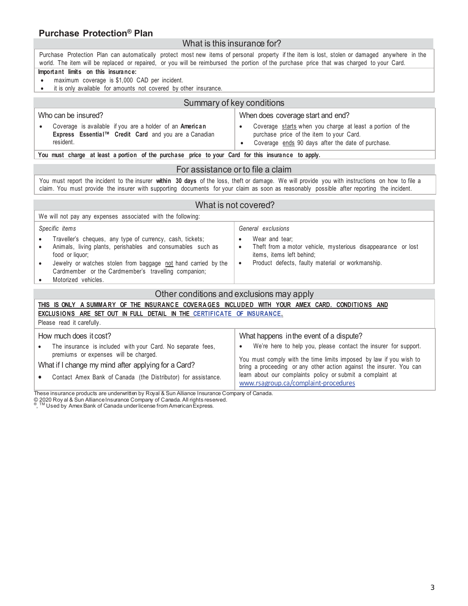# <span id="page-2-0"></span>**Purchase Protection® Plan**

#### What is this insurance for?

Purchase Protection Plan can automatically protect most new items of personal property if the item is lost, stolen or damaged anywhere in the world. The item will be replaced or repaired, or you will be reimbursed the portion of the purchase price that was charged to your Card.

#### **Important limits on this insurance:**

- maximum coverage is \$1,000 CAD per incident.
- it is only available for amounts not covered by other insurance.

### Summary of key conditions

| Who can be insured?                                                                                                            | When does coverage start and end?                                                                                                                          |
|--------------------------------------------------------------------------------------------------------------------------------|------------------------------------------------------------------------------------------------------------------------------------------------------------|
| Coverage is available if you are a holder of an American<br>Express Essential™ Credit Card and you are a Canadian<br>resident. | Coverage starts when you charge at least a portion of the<br>purchase price of the item to your Card.<br>Coverage ends 90 days after the date of purchase. |

**You must charge at least a portion of the purchase price to your Card for this insurance to apply.**

#### For assistance or to file a claim

You must report the incident to the insurer **within 30 days** of the loss, theft or damage. We will provide you with instructions on how to file a claim. You must provide the insurer with supporting documents for your claim as soon as reasonably possible after reporting the incident.

#### What is not covered?

| We will not pay any expenses associated with the following:                                                                                                                                                                                                                                  |                                                                                                                                                                                        |  |
|----------------------------------------------------------------------------------------------------------------------------------------------------------------------------------------------------------------------------------------------------------------------------------------------|----------------------------------------------------------------------------------------------------------------------------------------------------------------------------------------|--|
| Specific items                                                                                                                                                                                                                                                                               | General exclusions                                                                                                                                                                     |  |
| Traveller's cheques, any type of currency, cash, tickets;<br>Animals, living plants, perishables and consumables such as<br>food or liquor;<br>Jewelry or watches stolen from baggage not hand carried by the<br>Cardmember or the Cardmember's travelling companion;<br>Motorized vehicles. | Wear and tear:<br>٠<br>Theft from a motor vehicle, mysterious disappearance or lost<br>$\bullet$<br>items, items left behind;<br>Product defects, faulty material or workmanship.<br>٠ |  |
| Other conditions and exclusions may apply                                                                                                                                                                                                                                                    |                                                                                                                                                                                        |  |
| THIS ISONLY A SUMMARY OF THE INSURANCE COVERAGES INCLUDED WITH YOUR AMEX CARD. CONDITIONS AND                                                                                                                                                                                                |                                                                                                                                                                                        |  |
| EXCLUSIONS ARE SET OUT IN FULL DETAIL IN THE CERTIFICATE OF INSURANCE.                                                                                                                                                                                                                       |                                                                                                                                                                                        |  |
| Please read it carefully.                                                                                                                                                                                                                                                                    |                                                                                                                                                                                        |  |
|                                                                                                                                                                                                                                                                                              |                                                                                                                                                                                        |  |

How much does it cost? • The insurance is included with your Card. No separate fees, premiums or expenses will be charged. What if I change my mind after applying for a Card? • Contact Amex Bank of Canada (the Distributor) for assistance. What happens in the event of a dispute? • We're here to help you, please contact the insurer for support. You must comply with the time limits imposed by law if you wish to bring a proceeding or any other action against the insurer. You can learn about our complaints policy or submit a complaint at www.rsagroup.ca/complaint-procedures

These insurance products are underwritten by Royal & Sun Alliance Insurance Company of Canada.

© 2020 Roy al & Sun Alliance Insurance Company of Canada. All rights reserved.<br>®, ™ Used by Amex Bank of Canada underIicense from American Express.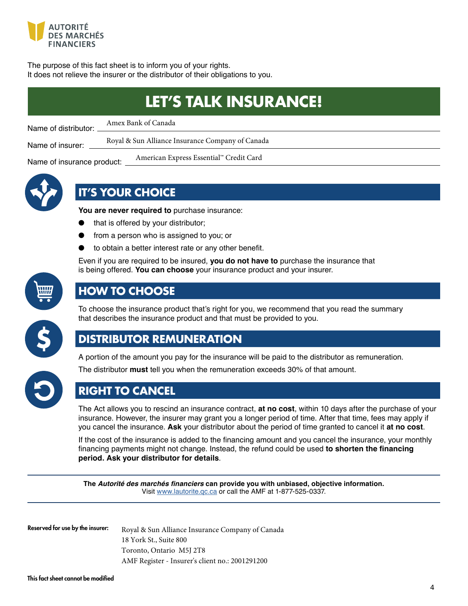<span id="page-3-0"></span>

The purpose of this fact sheet is to inform you of your rights. It does not relieve the insurer or the distributor of their obligations to you.

|                            | <b>LET'S TALK INSURANCE!</b>                     |
|----------------------------|--------------------------------------------------|
| Name of distributor:       | Amex Bank of Canada                              |
| Name of insurer:           | Royal & Sun Alliance Insurance Company of Canada |
| Name of insurance product: | American Express Essential™ Credit Card          |



# **IT'S YOUR CHOICE**

**You are never required to** purchase insurance:

- that is offered by your distributor;
- from a person who is assigned to you; or
- to obtain a better interest rate or any other benefit.

Even if you are required to be insured, **you do not have to** purchase the insurance that is being offered. You can choose your insurance product and your insurer.



# **HOW TO CHOOSE**

To choose the insurance product that's right for you, we recommend that you read the summary that describes the insurance product and that must be provided to you.



# **DISTRIBUTOR REMUNERATION**

A portion of the amount you pay for the insurance will be paid to the distributor as remuneration.

The distributor must tell you when the remuneration exceeds 30% of that amount.



**RIGHT TO CANCEL** 

The Act allows you to rescind an insurance contract, **at no cost**, within 10 days after the purchase of your insurance. However, the insurer may grant you a longer period of time. After that time, fees may apply if you cancel the insurance. Ask your distributor about the period of time granted to cancel it at no cost.

If the cost of the insurance is added to the financing amount and you cancel the insurance, your monthly financing payments might not change. Instead, the refund could be used to shorten the financing **period. Ask your distributor for details**

The *Autorité des marchés financiers* can provide you with unbiased, objective information. Visit www.lautorite.gc.ca or call the AMF at 1-877-525-0337.

Reserved for use by the insurer:

Royal & Sun Alliance Insurance Company of Canada 18 York St., Suite 800 Toronto, Ontario M5J 2T8 AMF Register - Insurer's client no.: 2001291200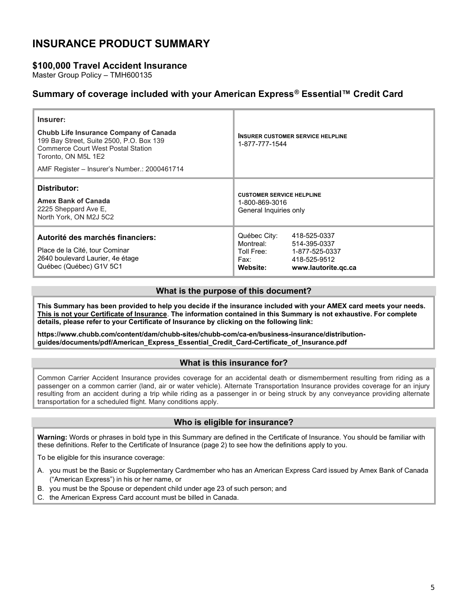# <span id="page-4-0"></span>INSURANCE PRODUCT SUMMARY

### \$100,000 Travel Accident Insurance

Master Group Policy – TMH600135

### Summary of coverage included with your American Express® Essential™ Credit Card

| Insurer:<br><b>Chubb Life Insurance Company of Canada</b><br>199 Bay Street, Suite 2500, P.O. Box 139<br><b>Commerce Court West Postal Station</b><br>Toronto, ON M5L 1E2<br>AMF Register – Insurer's Number.: 2000461714 | 1-877-777-1544                                                               | <b>INSURER CUSTOMER SERVICE HELPLINE</b>                                              |
|---------------------------------------------------------------------------------------------------------------------------------------------------------------------------------------------------------------------------|------------------------------------------------------------------------------|---------------------------------------------------------------------------------------|
| Distributor:<br><b>Amex Bank of Canada</b><br>2225 Sheppard Ave E,<br>North York, ON M2J 5C2                                                                                                                              | <b>CUSTOMER SERVICE HELPLINE</b><br>1-800-869-3016<br>General Inquiries only |                                                                                       |
| Autorité des marchés financiers:<br>Place de la Cité, tour Cominar<br>2640 boulevard Laurier, 4e étage<br>Québec (Québec) G1V 5C1                                                                                         | Québec City:<br>Montreal:<br>Toll Free:<br>Fax:<br>Website:                  | 418-525-0337<br>514-395-0337<br>1-877-525-0337<br>418-525-9512<br>www.lautorite.gc.ca |

#### What is the purpose of this document?

This Summary has been provided to help you decide if the insurance included with your AMEX card meets your needs. This is not your Certificate of Insurance. The information contained in this Summary is not exhaustive. For complete details, please refer to your Certificate of Insurance by clicking on the following link:

https://www.chubb.com/content/dam/chubb-sites/chubb-com/ca-en/business-insurance/distributionguides/documents/pdf/American\_Express\_Essential\_Credit\_Card-Certificate\_of\_Insurance.pdf

#### What is this insurance for?

Common Carrier Accident Insurance provides coverage for an accidental death or dismemberment resulting from riding as a passenger on a common carrier (land, air or water vehicle). Alternate Transportation Insurance provides coverage for an injury resulting from an accident during a trip while riding as a passenger in or being struck by any conveyance providing alternate transportation for a scheduled flight. Many conditions apply.

#### Who is eligible for insurance?

Warning: Words or phrases in bold type in this Summary are defined in the Certificate of Insurance. You should be familiar with these definitions. Refer to the Certificate of Insurance (page 2) to see how the definitions apply to you.

To be eligible for this insurance coverage:

- A. you must be the Basic or Supplementary Cardmember who has an American Ex[press Card issued by Amex B](https://www.insurance.americanexpress.com/ca/files/2019/06/190519-Essentials-Ins.-Certs-16392-Eng.pdf)ank of Canada ("American Express") in his or her name, or
- B. you must be the Spouse or dependent child under age 23 of such person; and
- C. the American Express Card account must be billed in Canada.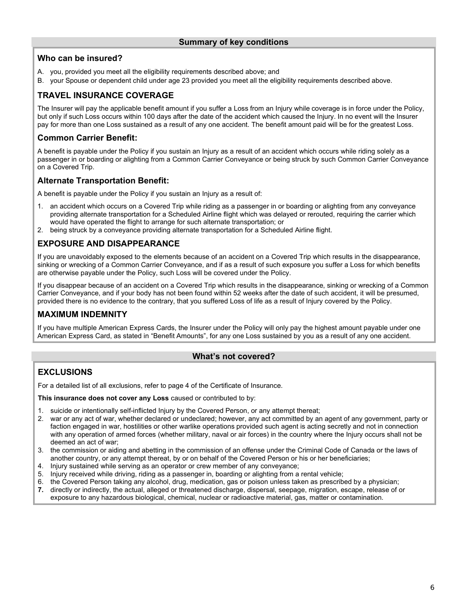### Who can be insured?

- A. you, provided you meet all the eligibility requirements described above; and
- B. your Spouse or dependent child under age 23 provided you meet all the eligibility requirements described above.

## TRAVEL INSURANCE COVERAGE

The Insurer will pay the applicable benefit amount if you suffer a Loss from an Injury while coverage is in force under the Policy, but only if such Loss occurs within 100 days after the date of the accident which caused the Injury. In no event will the Insurer pay for more than one Loss sustained as a result of any one accident. The benefit amount paid will be for the greatest Loss.

### Common Carrier Benefit:

A benefit is payable under the Policy if you sustain an Injury as a result of an accident which occurs while riding solely as a passenger in or boarding or alighting from a Common Carrier Conveyance or being struck by such Common Carrier Conveyance on a Covered Trip.

#### Alternate Transportation Benefit:

A benefit is payable under the Policy if you sustain an Injury as a result of:

- 1. an accident which occurs on a Covered Trip while riding as a passenger in or boarding or alighting from any conveyance providing alternate transportation for a Scheduled Airline flight which was delayed or rerouted, requiring the carrier which would have operated the flight to arrange for such alternate transportation; or
- 2. being struck by a conveyance providing alternate transportation for a Scheduled Airline flight.

### EXPOSURE AND DISAPPEARANCE

If you are unavoidably exposed to the elements because of an accident on a Covered Trip which results in the disappearance, sinking or wrecking of a Common Carrier Conveyance, and if as a result of such exposure you suffer a Loss for which benefits are otherwise payable under the Policy, such Loss will be covered under the Policy.

If you disappear because of an accident on a Covered Trip which results in the disappearance, sinking or wrecking of a Common Carrier Conveyance, and if your body has not been found within 52 weeks after the date of such accident, it will be presumed, provided there is no evidence to the contrary, that you suffered Loss of life as a result of Injury covered by the Policy.

### MAXIMUM INDEMNITY

If you have multiple American Express Cards, the Insurer under the Policy will only pay the highest amount payable under one American Express Card, as stated in "Benefit Amounts", for any one Loss sustained by you as a result of any one accident.

#### What's not covered?

### **EXCLUSIONS**

For a detailed list of all exclusions, refer to page 4 of the Certificate of Insurance.

This insurance does not cover any Loss caused or contributed to by:

- 1. suicide or intentionally self-inflicted Injury by the Covered Person, or any attempt thereat;
- 2. war or any act of war, whether declared or undeclared; however, any act committed by an agent of any government, party or faction engaged in war, hostilities or other warlike operations provided such agent is acting secretly and not in connection with any operation of armed forces (whether military, naval or air forces) in the country where the Injury occurs shall not be deemed an act of war;
- 3. the commission or aiding and abetting in the commission of an offense under the Criminal Code of Canada or the laws of another country, or any attempt thereat, by or on behalf of the Covered Person or his or her beneficiaries;
- 4. Injury sustained while serving as an operator or crew member of any conveyance;
- 5. Injury received while driving, riding as a passenger in, boarding or alighting from a rental vehicle;
- 6. the Covered Person taking any alcohol, drug, medication, gas or poison unless taken as prescribed by a physician;<br>7. directly or indirectly, the actual, alleged or threatened discharge, dispersal, seepage, migration, es
- directly or indirectly, the actual, alleged or threatened discharge, dispersal, seepage, migration, escape, release of or exposure to any hazardous biological, chemical, nuclear or radioactive material, gas, matter or contamination.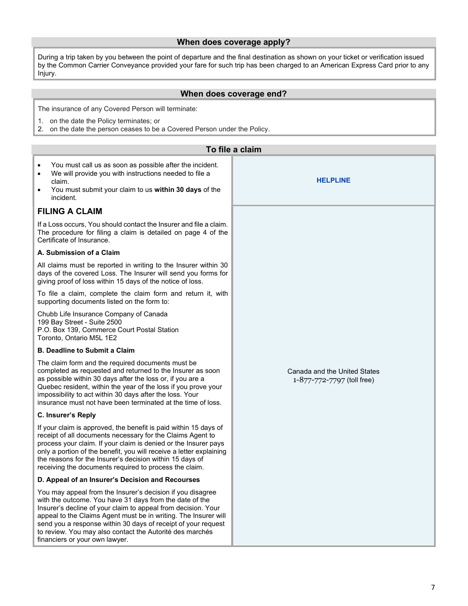#### When does coverage apply?

During a trip taken by you between the point of departure and the final destination as shown on your ticket or verification issued by the Common Carrier Conveyance provided your fare for such trip has been charged to an American Express Card prior to any Injury.

#### When does coverage end?

The insurance of any Covered Person will terminate:

- 1. on the date the Policy terminates; or
- 2. on the date the person ceases to be a Covered Person under the Policy.

| To file a claim                                                                                                                                                                                                                                                                                                                                                                                                                           |                 |  |
|-------------------------------------------------------------------------------------------------------------------------------------------------------------------------------------------------------------------------------------------------------------------------------------------------------------------------------------------------------------------------------------------------------------------------------------------|-----------------|--|
| You must call us as soon as possible after the incident.<br>$\bullet$<br>We will provide you with instructions needed to file a<br>$\bullet$<br>claim.<br>You must submit your claim to us within 30 days of the<br>$\bullet$<br>incident.                                                                                                                                                                                                | <b>HELPLINE</b> |  |
| <b>FILING A CLAIM</b>                                                                                                                                                                                                                                                                                                                                                                                                                     |                 |  |
| If a Loss occurs, You should contact the Insurer and file a claim.<br>The procedure for filing a claim is detailed on page 4 of the<br>Certificate of Insurance.                                                                                                                                                                                                                                                                          |                 |  |
| A. Submission of a Claim                                                                                                                                                                                                                                                                                                                                                                                                                  |                 |  |
| All claims must be reported in writing to the Insurer within 30<br>days of the covered Loss. The Insurer will send you forms for<br>giving proof of loss within 15 days of the notice of loss.                                                                                                                                                                                                                                            |                 |  |
| To file a claim, complete the claim form and return it, with<br>supporting documents listed on the form to:                                                                                                                                                                                                                                                                                                                               |                 |  |
| Chubb Life Insurance Company of Canada<br>199 Bay Street - Suite 2500<br>P.O. Box 139, Commerce Court Postal Station<br>Toronto, Ontario M5L 1E2                                                                                                                                                                                                                                                                                          |                 |  |
| <b>B. Deadline to Submit a Claim</b>                                                                                                                                                                                                                                                                                                                                                                                                      |                 |  |
| The claim form and the required documents must be<br>completed as requested and returned to the Insurer as soon<br>Canada and the United States<br>as possible within 30 days after the loss or, if you are a<br>1-877-772-7797 (toll free)<br>Quebec resident, within the year of the loss if you prove your<br>impossibility to act within 30 days after the loss. Your<br>insurance must not have been terminated at the time of loss. |                 |  |
| C. Insurer's Reply                                                                                                                                                                                                                                                                                                                                                                                                                        |                 |  |
| If your claim is approved, the benefit is paid within 15 days of<br>receipt of all documents necessary for the Claims Agent to<br>process your claim. If your claim is denied or the Insurer pays<br>only a portion of the benefit, you will receive a letter explaining<br>the reasons for the Insurer's decision within 15 days of<br>receiving the documents required to process the claim.                                            |                 |  |
| D. Appeal of an Insurer's Decision and Recourses                                                                                                                                                                                                                                                                                                                                                                                          |                 |  |
| You may appeal from the Insurer's decision if you disagree<br>with the outcome. You have 31 days from the date of the<br>Insurer's decline of your claim to appeal from decision. Your<br>appeal to the Claims Agent must be in writing. The Insurer will<br>send you a response within 30 days of receipt of your request<br>to review. You may also contact the Autorité des marchés<br>financiers or your own lawyer.                  |                 |  |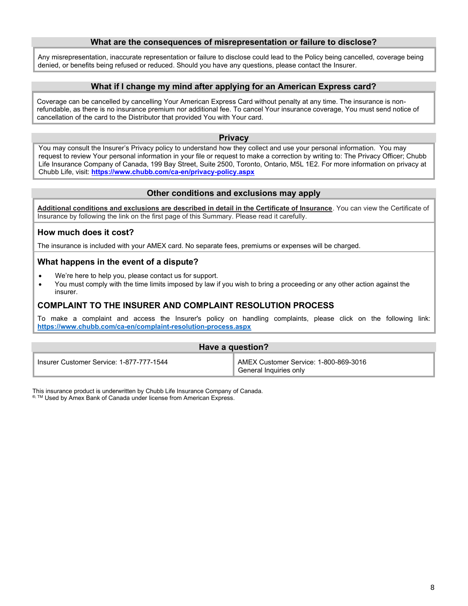#### What are the consequences of misrepresentation or failure to disclose?

Any misrepresentation, inaccurate representation or failure to disclose could lead to the Policy being cancelled, coverage being denied, or benefits being refused or reduced. Should you have any questions, please contact the Insurer.

#### What if I change my mind after applying for an American Express card?

Coverage can be cancelled by cancelling Your American Express Card without penalty at any time. The insurance is nonrefundable, as there is no insurance premium nor additional fee. To cancel Your insurance coverage, You must send notice of cancellation of the card to the Distributor that provided You with Your card.

#### **Privacy**

You may consult the Insurer's Privacy policy to understand how they collect and use your personal information. You may request to review Your personal information in your file or request to make a correction by writing to: The Privacy Officer; Chubb Life Insurance Company of Canada, 199 Bay Street, Suite 2500, Toronto, Ontario, M5L 1E2. For more information on privacy at Chubb Life, visit: https://www.chubb.com/ca-en/privacy-policy.aspx

#### Other conditions and exclusions may apply

Additional conditions and exclusions are described in detail in the Certificate of Insurance. You can view the Certificate of Insurance by following the link on the first page of this Summary. Please read it carefully.

#### How much does it cost?

The insurance is included with your AMEX card. No separate fees, premiums or expenses will be charged.

#### What happens in the event of a dispute?

- We're here to help you, please contact us for support.
- You must comply with the time limits imposed by law if you wish to bring a proceeding or any other action against the insurer.

#### COMPLAINT TO THE INSURER AND COMPLAINT RESOLUTION PROCESS

To make a complaint and access the Insurer's policy on handling complaints, please click on the following link: https://www.chubb.com/ca-en/complaint-resolution-process.aspx

| Have a question?                         |                                                                              |
|------------------------------------------|------------------------------------------------------------------------------|
| Insurer Customer Service: 1-877-777-1544 | AMEX Customer Service: 1-800-869-3016<br><sup>τ</sup> General Inquiries only |

This insurance product is underwritten by Chubb Life Insurance Company of Canada.

®, TM Used by Amex Bank of Canada under license from American Express.